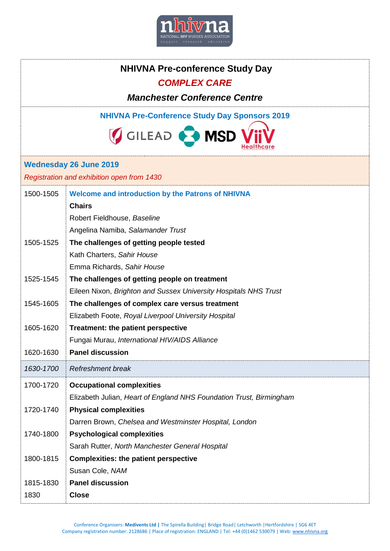

| <b>NHIVNA Pre-conference Study Day</b> |                                                                     |  |  |
|----------------------------------------|---------------------------------------------------------------------|--|--|
|                                        | <b>COMPLEX CARE</b>                                                 |  |  |
|                                        | <b>Manchester Conference Centre</b>                                 |  |  |
|                                        | <b>NHIVNA Pre-Conference Study Day Sponsors 2019</b>                |  |  |
| GILEAD & MSD                           |                                                                     |  |  |
|                                        | <b>Wednesday 26 June 2019</b>                                       |  |  |
|                                        | Registration and exhibition open from 1430                          |  |  |
| 1500-1505                              | <b>Welcome and introduction by the Patrons of NHIVNA</b>            |  |  |
|                                        | <b>Chairs</b>                                                       |  |  |
|                                        | Robert Fieldhouse, Baseline                                         |  |  |
|                                        | Angelina Namiba, Salamander Trust                                   |  |  |
| 1505-1525                              | The challenges of getting people tested                             |  |  |
|                                        | Kath Charters, Sahir House                                          |  |  |
|                                        | Emma Richards, Sahir House                                          |  |  |
| 1525-1545                              | The challenges of getting people on treatment                       |  |  |
|                                        | Eileen Nixon, Brighton and Sussex University Hospitals NHS Trust    |  |  |
| 1545-1605                              | The challenges of complex care versus treatment                     |  |  |
|                                        | Elizabeth Foote, Royal Liverpool University Hospital                |  |  |
| 1605-1620                              | Treatment: the patient perspective                                  |  |  |
|                                        | Fungai Murau, International HIV/AIDS Alliance                       |  |  |
| 1620-1630                              | <b>Panel discussion</b>                                             |  |  |
| 1630-1700                              | Refreshment break                                                   |  |  |
| 1700-1720                              | <b>Occupational complexities</b>                                    |  |  |
|                                        | Elizabeth Julian, Heart of England NHS Foundation Trust, Birmingham |  |  |
| 1720-1740                              | <b>Physical complexities</b>                                        |  |  |
|                                        | Darren Brown, Chelsea and Westminster Hospital, London              |  |  |
| 1740-1800                              | <b>Psychological complexities</b>                                   |  |  |
|                                        | Sarah Rutter, North Manchester General Hospital                     |  |  |
| 1800-1815                              | <b>Complexities: the patient perspective</b>                        |  |  |
|                                        | Susan Cole, NAM                                                     |  |  |
| 1815-1830                              | <b>Panel discussion</b>                                             |  |  |
| 1830                                   | <b>Close</b>                                                        |  |  |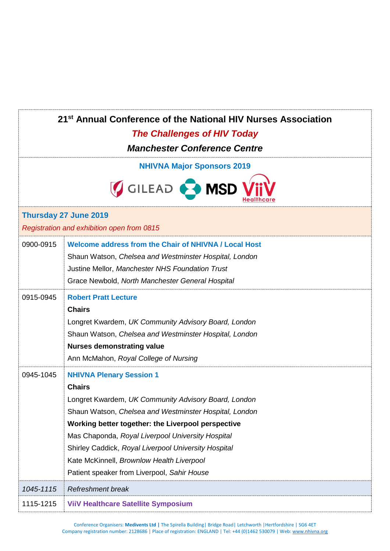| 21 <sup>st</sup> Annual Conference of the National HIV Nurses Association<br><b>The Challenges of HIV Today</b><br><b>Manchester Conference Centre</b><br><b>NHIVNA Major Sponsors 2019</b><br>GILEAD & MSD<br><b>Thursday 27 June 2019</b><br>Registration and exhibition open from 0815 |                                                                                                                                                                                                                                                                                                                                                                                                                                   |  |           |                                                                                                                                                                                                                                              |
|-------------------------------------------------------------------------------------------------------------------------------------------------------------------------------------------------------------------------------------------------------------------------------------------|-----------------------------------------------------------------------------------------------------------------------------------------------------------------------------------------------------------------------------------------------------------------------------------------------------------------------------------------------------------------------------------------------------------------------------------|--|-----------|----------------------------------------------------------------------------------------------------------------------------------------------------------------------------------------------------------------------------------------------|
|                                                                                                                                                                                                                                                                                           |                                                                                                                                                                                                                                                                                                                                                                                                                                   |  | 0900-0915 | Welcome address from the Chair of NHIVNA / Local Host<br>Shaun Watson, Chelsea and Westminster Hospital, London<br>Justine Mellor, Manchester NHS Foundation Trust<br>Grace Newbold, North Manchester General Hospital                       |
|                                                                                                                                                                                                                                                                                           |                                                                                                                                                                                                                                                                                                                                                                                                                                   |  | 0915-0945 | <b>Robert Pratt Lecture</b><br><b>Chairs</b><br>Longret Kwardem, UK Community Advisory Board, London<br>Shaun Watson, Chelsea and Westminster Hospital, London<br><b>Nurses demonstrating value</b><br>Ann McMahon, Royal College of Nursing |
| 0945-1045                                                                                                                                                                                                                                                                                 | <b>NHIVNA Plenary Session 1</b><br><b>Chairs</b><br>Longret Kwardem, UK Community Advisory Board, London<br>Shaun Watson, Chelsea and Westminster Hospital, London<br>Working better together: the Liverpool perspective<br>Mas Chaponda, Royal Liverpool University Hospital<br>Shirley Caddick, Royal Liverpool University Hospital<br>Kate McKinnell, Brownlow Health Liverpool<br>Patient speaker from Liverpool, Sahir House |  |           |                                                                                                                                                                                                                                              |
| 1045-1115                                                                                                                                                                                                                                                                                 | <b>Refreshment break</b>                                                                                                                                                                                                                                                                                                                                                                                                          |  |           |                                                                                                                                                                                                                                              |
| 1115-1215                                                                                                                                                                                                                                                                                 | <b>ViiV Healthcare Satellite Symposium</b>                                                                                                                                                                                                                                                                                                                                                                                        |  |           |                                                                                                                                                                                                                                              |

Conference Organisers: **Medivents Ltd |** The Spirella Building| Bridge Road| Letchworth |Hertfordshire | SG6 4ET Company registration number: 2128686 | Place of registration: ENGLAND | Tel: +44 (0)1462 530079 | Web[: www.nhivna.org](http://www.nhivna.org/)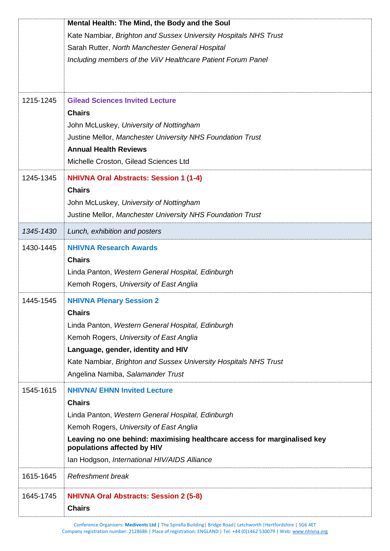|           | Mental Health: The Mind, the Body and the Soul                                                          |
|-----------|---------------------------------------------------------------------------------------------------------|
|           | Kate Nambiar, Brighton and Sussex University Hospitals NHS Trust                                        |
|           | Sarah Rutter, North Manchester General Hospital                                                         |
|           | Including members of the ViiV Healthcare Patient Forum Panel                                            |
|           |                                                                                                         |
|           |                                                                                                         |
| 1215-1245 | <b>Gilead Sciences Invited Lecture</b>                                                                  |
|           | <b>Chairs</b>                                                                                           |
|           | John McLuskey, University of Nottingham                                                                 |
|           | Justine Mellor, Manchester University NHS Foundation Trust                                              |
|           | <b>Annual Health Reviews</b>                                                                            |
|           | Michelle Croston, Gilead Sciences Ltd                                                                   |
| 1245-1345 | <b>NHIVNA Oral Abstracts: Session 1 (1-4)</b>                                                           |
|           | <b>Chairs</b>                                                                                           |
|           | John McLuskey, University of Nottingham                                                                 |
|           | Justine Mellor, Manchester University NHS Foundation Trust                                              |
| 1345-1430 | Lunch, exhibition and posters                                                                           |
| 1430-1445 | <b>NHIVNA Research Awards</b>                                                                           |
|           | <b>Chairs</b>                                                                                           |
|           | Linda Panton, Western General Hospital, Edinburgh                                                       |
|           | Kemoh Rogers, University of East Anglia                                                                 |
| 1445-1545 | <b>NHIVNA Plenary Session 2</b>                                                                         |
|           | <b>Chairs</b>                                                                                           |
|           | Linda Panton, Western General Hospital, Edinburgh                                                       |
|           | Kemoh Rogers, University of East Anglia                                                                 |
|           | Language, gender, identity and HIV                                                                      |
|           | Kate Nambiar, Brighton and Sussex University Hospitals NHS Trust                                        |
|           | Angelina Namiba, Salamander Trust                                                                       |
| 1545-1615 | <b>NHIVNA/ EHNN Invited Lecture</b>                                                                     |
|           | <b>Chairs</b>                                                                                           |
|           | Linda Panton, Western General Hospital, Edinburgh                                                       |
|           | Kemoh Rogers, University of East Anglia                                                                 |
|           | Leaving no one behind: maximising healthcare access for marginalised key<br>populations affected by HIV |
|           | Ian Hodgson, International HIV/AIDS Alliance                                                            |
| 1615-1645 | Refreshment break                                                                                       |
| 1645-1745 | <b>NHIVNA Oral Abstracts: Session 2 (5-8)</b>                                                           |
|           | <b>Chairs</b>                                                                                           |
|           |                                                                                                         |

Conference Organisers: **Medivents Ltd |** The Spirella Building| Bridge Road| Letchworth |Hertfordshire | SG6 4ET Company registration number: 2128686 | Place of registration: ENGLAND | Tel: +44 (0)1462 530079 | Web[: www.nhivna.org](http://www.nhivna.org/)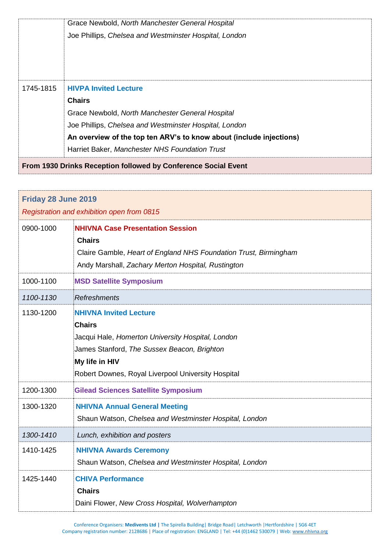|                                                                | Grace Newbold, North Manchester General Hospital                    |  |
|----------------------------------------------------------------|---------------------------------------------------------------------|--|
|                                                                | Joe Phillips, Chelsea and Westminster Hospital, London              |  |
|                                                                |                                                                     |  |
|                                                                |                                                                     |  |
|                                                                |                                                                     |  |
| 1745-1815                                                      | <b>HIVPA Invited Lecture</b>                                        |  |
|                                                                | <b>Chairs</b>                                                       |  |
|                                                                | Grace Newbold, North Manchester General Hospital                    |  |
|                                                                | Joe Phillips, Chelsea and Westminster Hospital, London              |  |
|                                                                | An overview of the top ten ARV's to know about (include injections) |  |
|                                                                | Harriet Baker, Manchester NHS Foundation Trust                      |  |
| From 1930 Drinks Reception followed by Conference Social Event |                                                                     |  |

| Friday 28 June 2019<br>Registration and exhibition open from 0815 |                                                                                                                                                                                                                            |  |
|-------------------------------------------------------------------|----------------------------------------------------------------------------------------------------------------------------------------------------------------------------------------------------------------------------|--|
| 0900-1000                                                         | <b>NHIVNA Case Presentation Session</b><br><b>Chairs</b><br>Claire Gamble, Heart of England NHS Foundation Trust, Birmingham<br>Andy Marshall, Zachary Merton Hospital, Rustington                                         |  |
| 1000-1100                                                         | <b>MSD Satellite Symposium</b>                                                                                                                                                                                             |  |
| 1100-1130                                                         | <b>Refreshments</b>                                                                                                                                                                                                        |  |
| 1130-1200                                                         | <b>NHIVNA Invited Lecture</b><br><b>Chairs</b><br>Jacqui Hale, Homerton University Hospital, London<br>James Stanford, The Sussex Beacon, Brighton<br>My life in HIV<br>Robert Downes, Royal Liverpool University Hospital |  |
| 1200-1300                                                         | <b>Gilead Sciences Satellite Symposium</b>                                                                                                                                                                                 |  |
| 1300-1320                                                         | <b>NHIVNA Annual General Meeting</b><br>Shaun Watson, Chelsea and Westminster Hospital, London                                                                                                                             |  |
| 1300-1410                                                         | Lunch, exhibition and posters                                                                                                                                                                                              |  |
| 1410-1425                                                         | <b>NHIVNA Awards Ceremony</b><br>Shaun Watson, Chelsea and Westminster Hospital, London                                                                                                                                    |  |
| 1425-1440                                                         | <b>CHIVA Performance</b><br><b>Chairs</b><br>Daini Flower, New Cross Hospital, Wolverhampton                                                                                                                               |  |